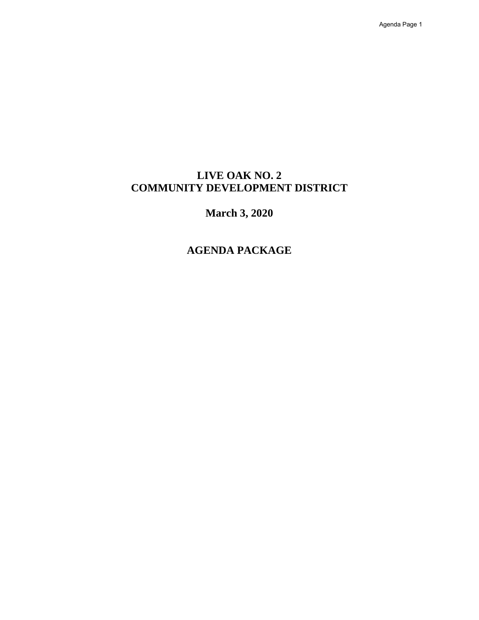Agenda Page 1

### **[LIVE OAK NO. 2](#page-5-0) COMMUNITY DEVELOPMENT DISTRICT**

### **March 3, 2020**

### **AGENDA PACKAGE**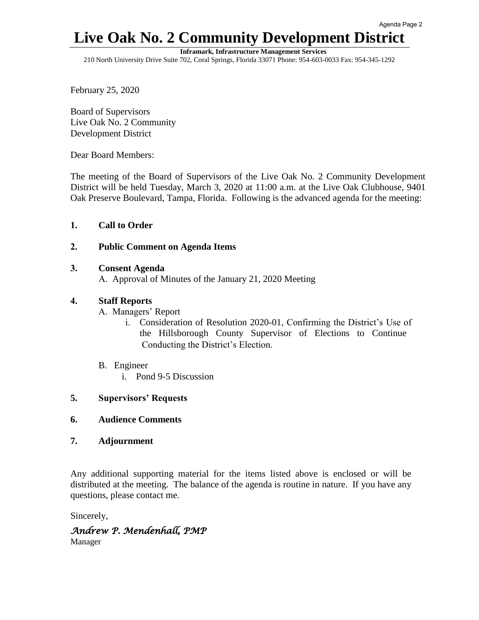### **Live Oak No. 2 Community Development District**

**Inframark, Infrastructure Management Services** 

210 North University Drive Suite 702, Coral Springs, Florida 33071 Phone: 954-603-0033 Fax: 954-345-1292

February 25, 2020

Board of Supervisors Live Oak No. 2 Community Development District

Dear Board Members:

 The meeting of the Board of Supervisors of the Live Oak No. 2 Community Development District will be held Tuesday, March 3, 2020 at 11:00 a.m. at the Live Oak Clubhouse, 9401 Oak Preserve Boulevard, Tampa, Florida. Following is the advanced agenda for the meeting:

#### **1. Call to Order**

#### **2. Public Comment on Agenda Items**

#### **3. Consent Agenda**

A. Approval of Minutes of the January 21, 2020 Meeting

#### **4. Staff Reports**

- A. Managers' Report
	- i. Consideration of Resolution 2020-01, Confirming the District's Use of the Hillsborough County Supervisor of Elections to Continue Conducting the District's Election.
- B. Engineer
	- i. Pond 9-5 Discussion

#### **5. Supervisors' Requests**

- **6. Audience Comments**
- **7. Adjournment**

 Any additional supporting material for the items listed above is enclosed or will be distributed at the meeting. The balance of the agenda is routine in nature. If you have any questions, please contact me.

Sincerely,

#### *Andrew P. Mendenhall, PMP*  Manager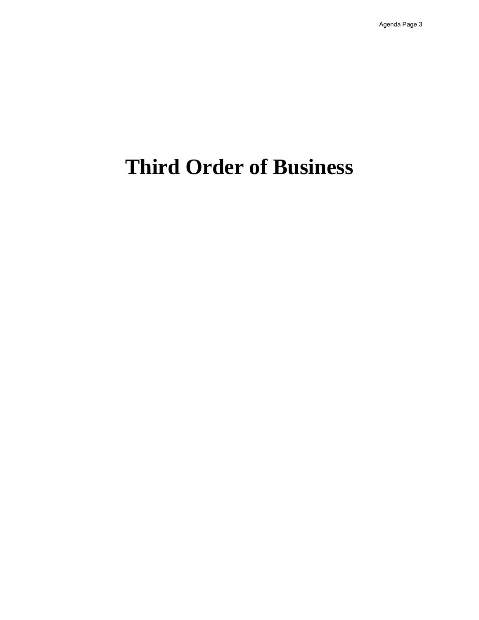## **Third Order of Business**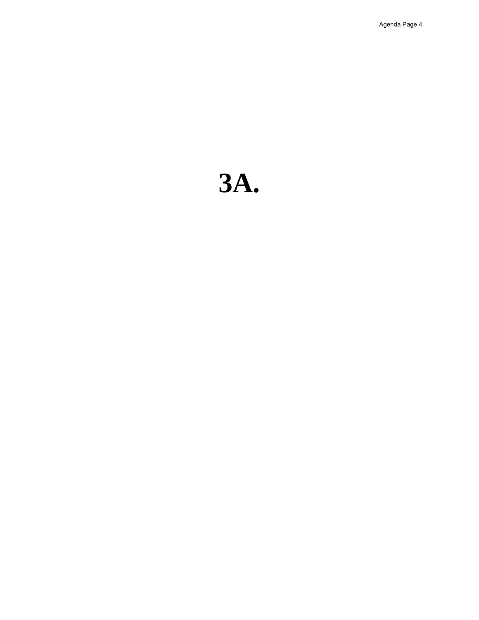# **3A.**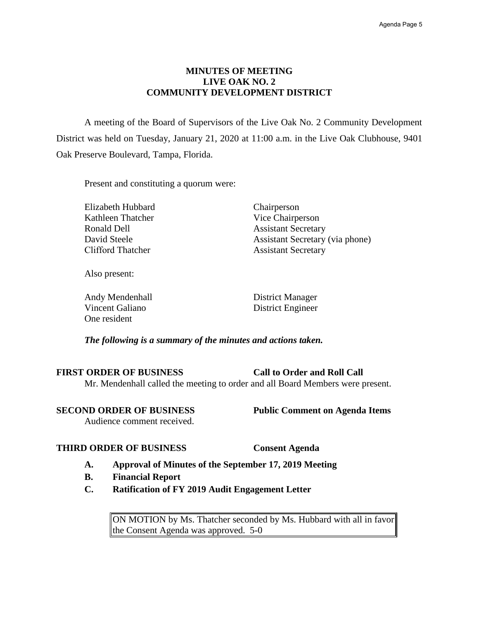#### **MINUTES OF MEETING LIVE OAK NO. 2 COMMUNITY DEVELOPMENT DISTRICT**

A meeting of the Board of Supervisors of the Live Oak No. 2 Community Development District was held on Tuesday, January 21, 2020 at 11:00 a.m. in the Live Oak Clubhouse, 9401 Oak Preserve Boulevard, Tampa, Florida.

Present and constituting a quorum were:

Elizabeth Hubbard Chairperson Kathleen Thatcher Vice Chairperson Ronald Dell **Assistant Secretary** Clifford Thatcher Assistant Secretary

David Steele Assistant Secretary (via phone)

Also present:

Andy Mendenhall District Manager Vincent Galiano District Engineer One resident

*The following is a summary of the minutes and actions taken.* 

 Mr. Mendenhall called the meeting to order and all Board Members were present. **FIRST ORDER OF BUSINESS Call to Order and Roll Call** 

**SECOND ORDER OF BUSINESS** Public Comment on Agenda Items

Audience comment received.

#### **THIRD ORDER OF BUSINESS Consent Agenda**

- **A. Approval of Minutes of the September 17, 2019 Meeting**
- **B. Financial Report**
- **C. Ratification of FY 2019 Audit Engagement Letter**

 ON MOTION by Ms. Thatcher seconded by Ms. Hubbard with all in favor the Consent Agenda was approved.  $5-0$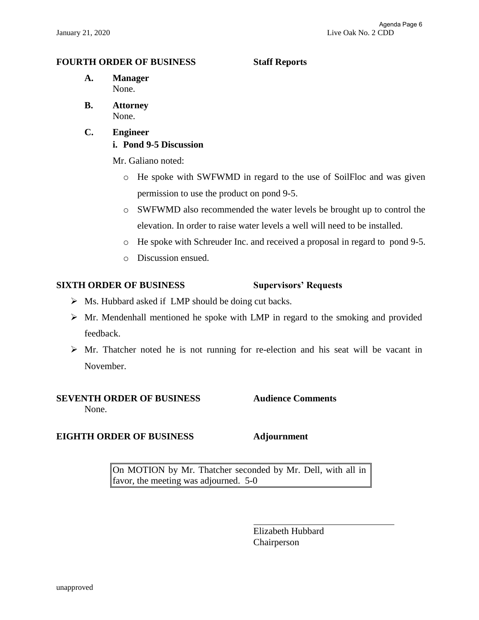#### <span id="page-5-0"></span>**FOURTH ORDER OF BUSINESS Staff Reports**

- **A. Manager**  None.
- **B. Attorney**  None.
- **C. Engineer i. Pond 9-5 Discussion**

Mr. Galiano noted:

- o He spoke with SWFWMD in regard to the use of SoilFloc and was given permission to use the product on pond 9-5.
- o SWFWMD also recommended the water levels be brought up to control the elevation. In order to raise water levels a well will need to be installed.
- o He spoke with Schreuder Inc. and received a proposal in regard to pond 9-5.
- o Discussion ensued.

#### **SIXTH ORDER OF BUSINESS** Supervisors' Requests

- ➢ Ms. Hubbard asked if LMP should be doing cut backs.
- ➢ Mr. Mendenhall mentioned he spoke with LMP in regard to the smoking and provided feedback.
- $\triangleright$  Mr. Thatcher noted he is not running for re-election and his seat will be vacant in November.

#### **SEVENTH ORDER OF BUSINESS Audience Comments**  None.

#### **EIGHTH ORDER OF BUSINESS Adjournment**

 On MOTION by Mr. Thatcher seconded by Mr. Dell, with all in favor, the meeting was adjourned. 5-0

> Elizabeth Hubbard Chairperson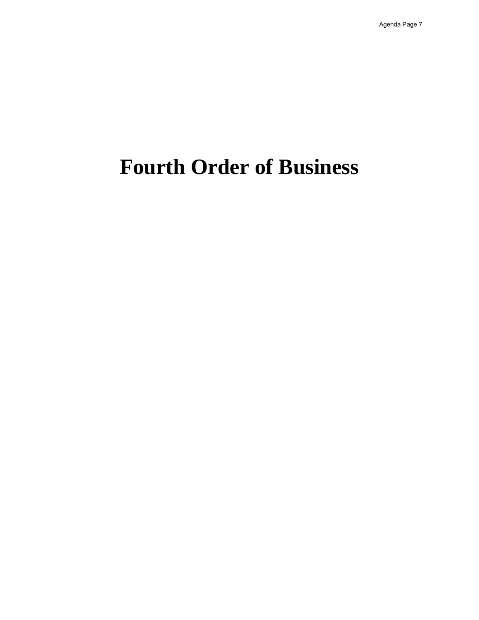## **Fourth Order of Business**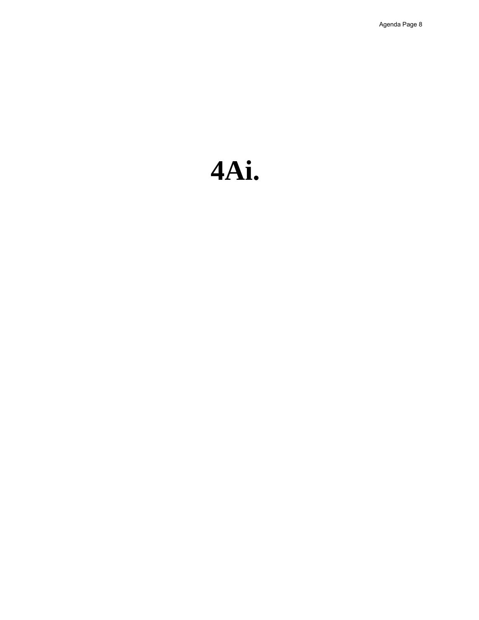# **4Ai.**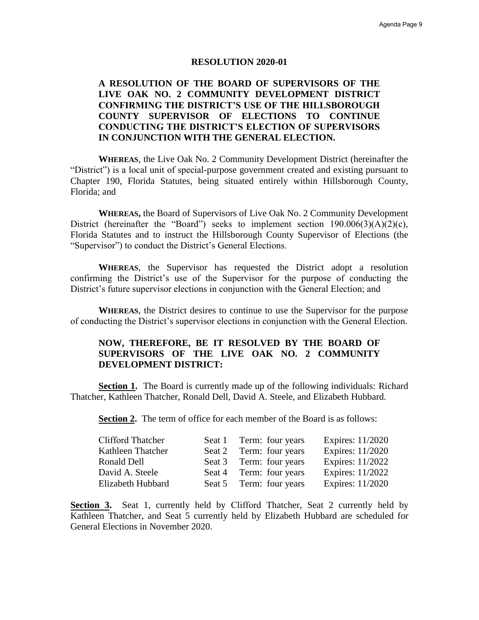#### **RESOLUTION 2020-01**

#### **A RESOLUTION OF THE BOARD OF SUPERVISORS OF THE CONFIRMING THE DISTRICT'S USE OF THE HILLSBOROUGH CONDUCTING THE DISTRICT'S ELECTION OF SUPERVISORS LIVE OAK NO. 2 COMMUNITY DEVELOPMENT DISTRICT COUNTY SUPERVISOR OF ELECTIONS TO CONTINUE IN CONJUNCTION WITH THE GENERAL ELECTION.**

 **WHEREAS**, the Live Oak No. 2 Community Development District (hereinafter the "District") is a local unit of special-purpose government created and existing pursuant to Chapter 190, Florida Statutes, being situated entirely within Hillsborough County, Florida; and

 Florida Statutes and to instruct the Hillsborough County Supervisor of Elections (the **WHEREAS,** the Board of Supervisors of Live Oak No. 2 Community Development District (hereinafter the "Board") seeks to implement section  $190.006(3)(A)(2)(c)$ , "Supervisor") to conduct the District's General Elections.

 confirming the District's use of the Supervisor for the purpose of conducting the **WHEREAS**, the Supervisor has requested the District adopt a resolution District's future supervisor elections in conjunction with the General Election; and

 **WHEREAS**, the District desires to continue to use the Supervisor for the purpose of conducting the District's supervisor elections in conjunction with the General Election.

#### **NOW, THEREFORE, BE IT RESOLVED BY THE BOARD OF SUPERVISORS OF THE LIVE OAK NO. 2 COMMUNITY DEVELOPMENT DISTRICT:**

**Section 1.** The Board is currently made up of the following individuals: Richard Thatcher, Kathleen Thatcher, Ronald Dell, David A. Steele, and Elizabeth Hubbard.

Section 2. The term of office for each member of the Board is as follows:

| <b>Clifford Thatcher</b> | Seat 1 Term: four years | Expires: 11/2020 |
|--------------------------|-------------------------|------------------|
| Kathleen Thatcher        | Seat 2 Term: four years | Expires: 11/2020 |
| Ronald Dell              | Seat 3 Term: four years | Expires: 11/2022 |
| David A. Steele          | Seat 4 Term: four years | Expires: 11/2022 |
| Elizabeth Hubbard        | Seat 5 Term: four years | Expires: 11/2020 |

Section 3. Seat 1, currently held by Clifford Thatcher, Seat 2 currently held by Kathleen Thatcher, and Seat 5 currently held by Elizabeth Hubbard are scheduled for General Elections in November 2020.